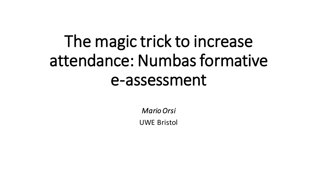# The magic trick to increase attendance: Numbas formative e-assessment

*Mario Orsi* UWE Bristol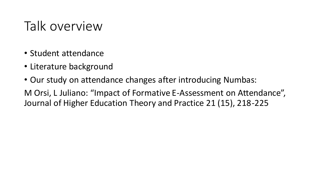### Talk overview

- Student attendance
- Literature background
- Our study on attendance changes after introducing Numbas:

M Orsi, L Juliano: "Impact of Formative E-Assessment on Attendance", Journal of Higher Education Theory and Practice 21 (15), 218-225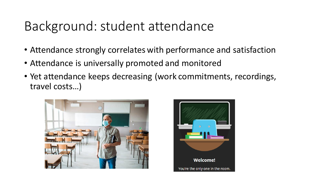### Background: student attendance

- Attendance strongly correlates with performance and satisfaction
- Attendance is universally promoted and monitored
- Yet attendance keeps decreasing (work commitments, recordings, travel costs…)



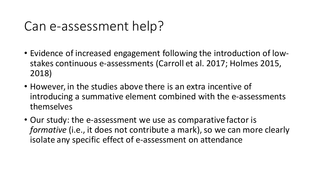### Can e-assessment help?

- Evidence of increased engagement following the introduction of lowstakes continuous e-assessments (Carroll et al. 2017; Holmes 2015, 2018)
- However, in the studies above there is an extra incentive of introducing a summative element combined with the e-assessments themselves
- Our study: the e-assessment we use as comparative factor is *formative* (i.e., it does not contribute a mark), so we can more clearly isolate any specific effect of e-assessment on attendance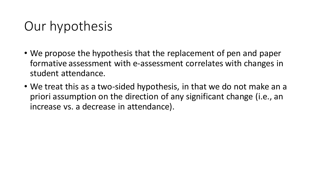### Our hypothesis

- We propose the hypothesis that the replacement of pen and paper formative assessment with e-assessment correlates with changes in student attendance.
- We treat this as a two-sided hypothesis, in that we do not make an a priori assumption on the direction of any significant change (i.e., an increase vs. a decrease in attendance).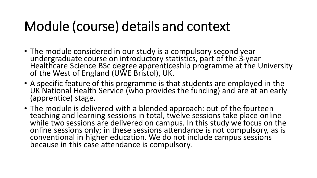### Module (course) details and context

- The module considered in our study is a compulsory second year undergraduate course on introductory statistics, part of the 3-year Healthcare Science BSc degree apprenticeship programme at the University of the West of England (UWE Bristol), UK.
- A specific feature of this programme is that students are employed in the UK National Health Service (who provides the funding) and are at an early (apprentice) stage.
- The module is delivered with a blended approach: out of the fourteen teaching and learning sessions in total, twelve sessions take place online while two sessions are delivered on campus. In this study we focus on the online sessions only; in these sessions attendance is not compulsory, as is conventional in higher education. We do not include campus sessions because in this case attendance is compulsory.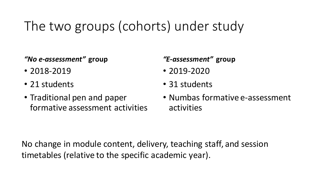## The two groups (cohorts) under study

*"No e-assessment"* **group**

- 2018-2019
- 21 students
- Traditional pen and paper formative assessment activities

*"E-assessment"* **group**

- 2019-2020
- 31 students
- Numbas formative e-assessment activities

No change in module content, delivery, teaching staff, and session timetables (relative to the specific academic year).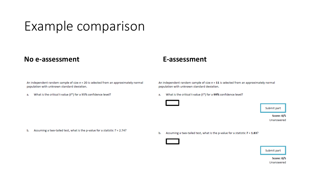### Example comparison

### **No e-assessment E-assessment**

An independent random sample of size  $n = 20$  is selected from an approximately normal population with unknown standard deviation.

What is the critical t-value (t\*) for a 95% confidence level? а.

An independent random sample of size  $n = 11$  is selected from an approximately normal population with unknown standard deviation.

What is the critical t-value (t\*) for a 99% confidence level? a.



**Score: 0/5** Unanswered

Assuming a two-tailed test, what is the p-value for a statistic  $T = 2.74$ ? b.

Assuming a two-tailed test, what is the p-value for a statistic  $T = 1.83$ ? b.



Submit part

**Score: 0/5** Unanswered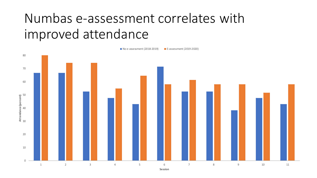### Numbas e-assessment correlates with improved attendance

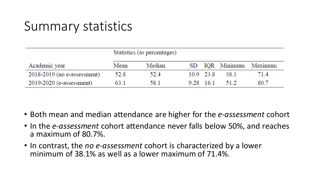### Summary statistics

|                               | Statistics (as percentages) |        |  |           |      |                        |
|-------------------------------|-----------------------------|--------|--|-----------|------|------------------------|
| Academic year                 | Mean                        | Median |  |           |      | SD IQR Minimum Maximum |
| $2018-2019$ (no e-assessment) | 52.8                        | 52.4   |  | 10.9 23.8 | 38.1 | 71.4                   |
| $2019-2020$ (e-assessment)    | 63.1                        | 58.1   |  | 9.28 16.1 | 51.2 | 80.7                   |

- Both mean and median attendance are higher for the *e-assessment* cohort
- In the *e-assessment* cohort attendance never falls below 50%, and reaches a maximum of 80.7%.
- In contrast, the *no e-assessment* cohort is characterized by a lower minimum of 38.1% as well as a lower maximum of 71.4%.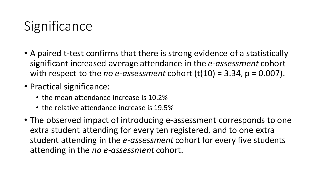### **Significance**

- A paired t-test confirms that there is strong evidence of a statistically significant increased average attendance in the *e-assessment* cohort with respect to the *no e-assessment* cohort  $(t(10) = 3.34, p = 0.007)$ .
- Practical significance:
	- the mean attendance increase is 10.2%
	- the relative attendance increase is 19.5%
- The observed impact of introducing e-assessment corresponds to one extra student attending for every ten registered, and to one extra student attending in the *e-assessment* cohort for every five students attending in the *no e-assessment* cohort.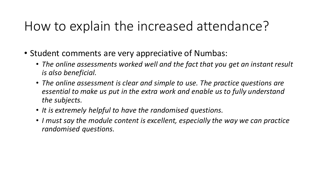### How to explain the increased attendance?

- Student comments are very appreciative of Numbas:
	- *The online assessments worked well and the fact that you get an instant result is also beneficial.*
	- *The online assessment is clear and simple to use. The practice questions are essential to make us put in the extra work and enable us to fully understand the subjects.*
	- *It is extremely helpful to have the randomised questions.*
	- *I must say the module content is excellent, especially the way we can practice randomised questions.*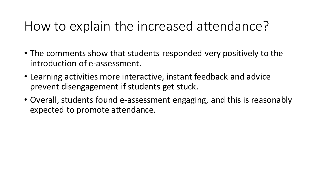### How to explain the increased attendance?

- The comments show that students responded very positively to the introduction of e-assessment.
- Learning activities more interactive, instant feedback and advice prevent disengagement if students get stuck.
- Overall, students found e-assessment engaging, and this is reasonably expected to promote attendance.